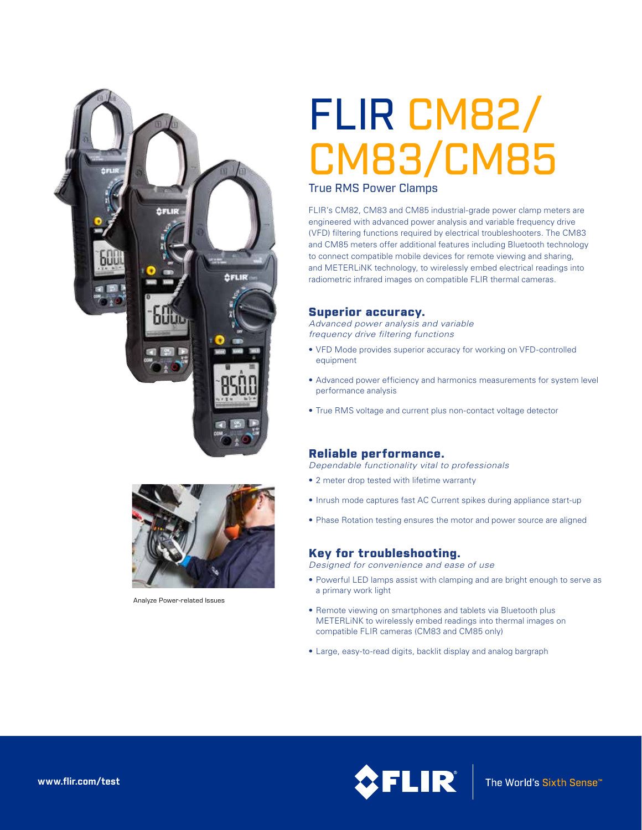



Analyze Power-related Issues

# FLIR CM82/ CM83/CM85

### True RMS Power Clamps

FLIR's CM82, CM83 and CM85 industrial-grade power clamp meters are engineered with advanced power analysis and variable frequency drive (VFD) filtering functions required by electrical troubleshooters. The CM83 and CM85 meters offer additional features including Bluetooth technology to connect compatible mobile devices for remote viewing and sharing, and METERLiNK technology, to wirelessly embed electrical readings into radiometric infrared images on compatible FLIR thermal cameras.

#### Superior accuracy.

*Advanced power analysis and variable frequency drive filtering functions*

- VFD Mode provides superior accuracy for working on VFD-controlled equipment
- Advanced power efficiency and harmonics measurements for system level performance analysis
- True RMS voltage and current plus non-contact voltage detector

### Reliable performance.

*Dependable functionality vital to professionals*

- 2 meter drop tested with lifetime warranty
- Inrush mode captures fast AC Current spikes during appliance start-up
- Phase Rotation testing ensures the motor and power source are aligned

# Key for troubleshooting.

*Designed for convenience and ease of use*

- Powerful LED lamps assist with clamping and are bright enough to serve as a primary work light
- Remote viewing on smartphones and tablets via Bluetooth plus METERLiNK to wirelessly embed readings into thermal images on compatible FLIR cameras (CM83 and CM85 only)
- Large, easy-to-read digits, backlit display and analog bargraph